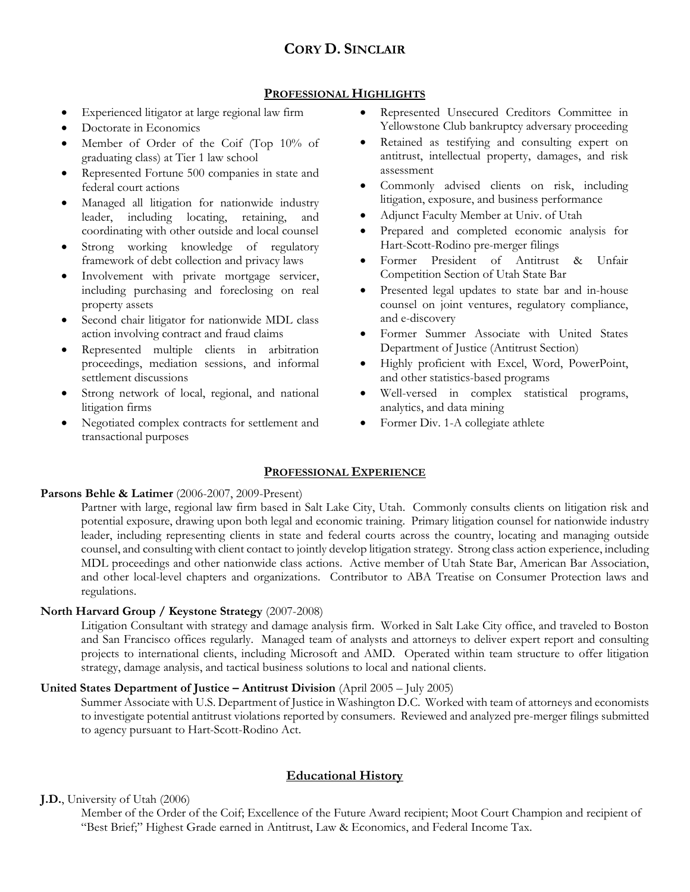# **CORY D. SINCLAIR**

### **PROFESSIONAL HIGHLIGHTS**

- Experienced litigator at large regional law firm
- Doctorate in Economics
- Member of Order of the Coif (Top 10% of graduating class) at Tier 1 law school
- Represented Fortune 500 companies in state and federal court actions
- Managed all litigation for nationwide industry leader, including locating, retaining, and coordinating with other outside and local counsel
- Strong working knowledge of regulatory framework of debt collection and privacy laws
- Involvement with private mortgage servicer, including purchasing and foreclosing on real property assets
- Second chair litigator for nationwide MDL class action involving contract and fraud claims
- Represented multiple clients in arbitration proceedings, mediation sessions, and informal settlement discussions
- Strong network of local, regional, and national litigation firms
- Negotiated complex contracts for settlement and transactional purposes
- Represented Unsecured Creditors Committee in Yellowstone Club bankruptcy adversary proceeding
- Retained as testifying and consulting expert on antitrust, intellectual property, damages, and risk assessment
- Commonly advised clients on risk, including litigation, exposure, and business performance
- Adjunct Faculty Member at Univ. of Utah
- Prepared and completed economic analysis for Hart-Scott-Rodino pre-merger filings
- Former President of Antitrust & Unfair Competition Section of Utah State Bar
- Presented legal updates to state bar and in-house counsel on joint ventures, regulatory compliance, and e-discovery
- Former Summer Associate with United States Department of Justice (Antitrust Section)
- Highly proficient with Excel, Word, PowerPoint, and other statistics-based programs
- Well-versed in complex statistical programs, analytics, and data mining
- Former Div. 1-A collegiate athlete

## **PROFESSIONAL EXPERIENCE**

#### **Parsons Behle & Latimer** (2006-2007, 2009-Present)

Partner with large, regional law firm based in Salt Lake City, Utah. Commonly consults clients on litigation risk and potential exposure, drawing upon both legal and economic training. Primary litigation counsel for nationwide industry leader, including representing clients in state and federal courts across the country, locating and managing outside counsel, and consulting with client contact to jointly develop litigation strategy. Strong class action experience, including MDL proceedings and other nationwide class actions. Active member of Utah State Bar, American Bar Association, and other local-level chapters and organizations. Contributor to ABA Treatise on Consumer Protection laws and regulations.

#### **North Harvard Group / Keystone Strategy** (2007-2008)

Litigation Consultant with strategy and damage analysis firm. Worked in Salt Lake City office, and traveled to Boston and San Francisco offices regularly. Managed team of analysts and attorneys to deliver expert report and consulting projects to international clients, including Microsoft and AMD. Operated within team structure to offer litigation strategy, damage analysis, and tactical business solutions to local and national clients.

## **United States Department of Justice – Antitrust Division** (April 2005 – July 2005)

Summer Associate with U.S. Department of Justice in Washington D.C. Worked with team of attorneys and economists to investigate potential antitrust violations reported by consumers. Reviewed and analyzed pre-merger filings submitted to agency pursuant to Hart-Scott-Rodino Act.

## **Educational History**

#### **J.D.**, University of Utah (2006)

Member of the Order of the Coif; Excellence of the Future Award recipient; Moot Court Champion and recipient of "Best Brief;" Highest Grade earned in Antitrust, Law & Economics, and Federal Income Tax.